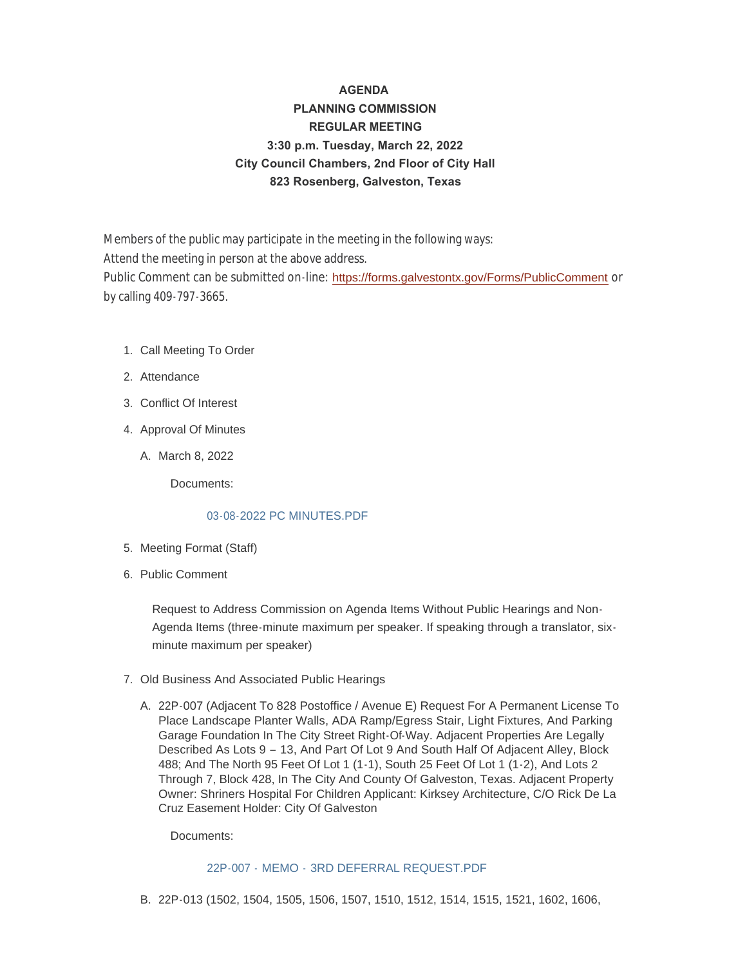# **AGENDA PLANNING COMMISSION REGULAR MEETING 3:30 p.m. Tuesday, March 22, 2022 City Council Chambers, 2nd Floor of City Hall 823 Rosenberg, Galveston, Texas**

Members of the public may participate in the meeting in the following ways: Attend the meeting in person at the above address. Public Comment can be submitted on-line: <https://forms.galvestontx.gov/Forms/PublicComment> or by calling 409-797-3665.

- 1. Call Meeting To Order
- 2. Attendance
- Conflict Of Interest 3.
- 4. Approval Of Minutes
	- A. March 8, 2022

Documents:

#### [03-08-2022 PC MINUTES.PDF](https://www.galvestontx.gov/AgendaCenter/ViewFile/Item/13965?fileID=32439)

- 5. Meeting Format (Staff)
- 6. Public Comment

Request to Address Commission on Agenda Items Without Public Hearings and Non-Agenda Items (three-minute maximum per speaker. If speaking through a translator, sixminute maximum per speaker)

- 7. Old Business And Associated Public Hearings
	- A. 22P-007 (Adjacent To 828 Postoffice / Avenue E) Request For A Permanent License To Place Landscape Planter Walls, ADA Ramp/Egress Stair, Light Fixtures, And Parking Garage Foundation In The City Street Right-Of-Way. Adjacent Properties Are Legally Described As Lots 9 – 13, And Part Of Lot 9 And South Half Of Adjacent Alley, Block 488; And The North 95 Feet Of Lot 1 (1-1), South 25 Feet Of Lot 1 (1-2), And Lots 2 Through 7, Block 428, In The City And County Of Galveston, Texas. Adjacent Property Owner: Shriners Hospital For Children Applicant: Kirksey Architecture, C/O Rick De La Cruz Easement Holder: City Of Galveston

Documents:

#### 22P-007 - MEMO - [3RD DEFERRAL REQUEST.PDF](https://www.galvestontx.gov/AgendaCenter/ViewFile/Item/13961?fileID=32434)

22P-013 (1502, 1504, 1505, 1506, 1507, 1510, 1512, 1514, 1515, 1521, 1602, 1606, B.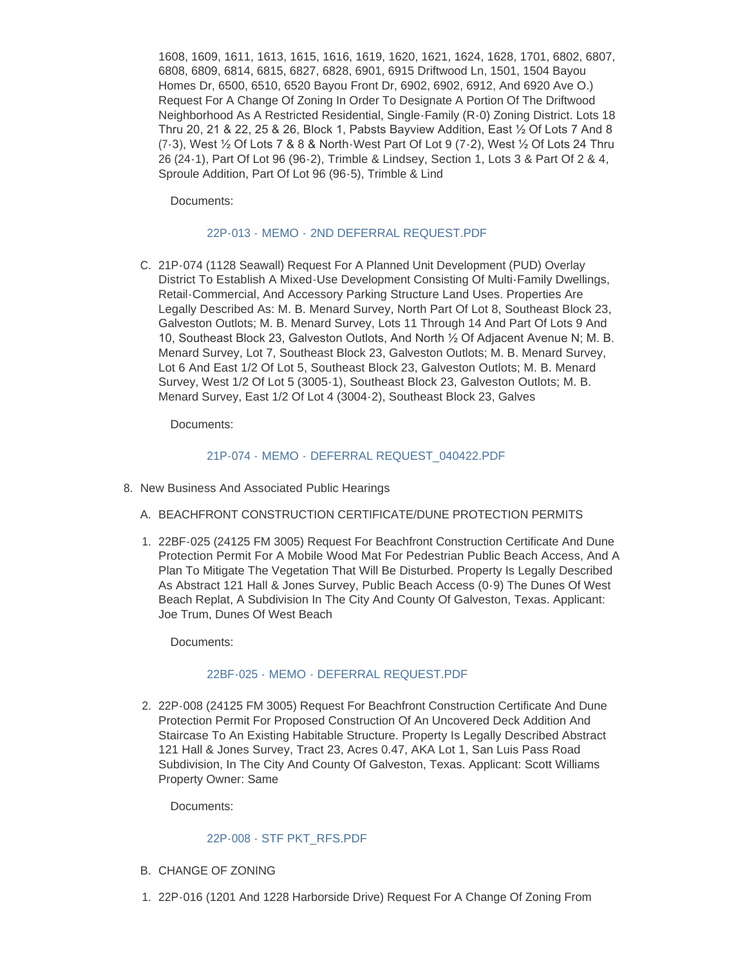1608, 1609, 1611, 1613, 1615, 1616, 1619, 1620, 1621, 1624, 1628, 1701, 6802, 6807, 6808, 6809, 6814, 6815, 6827, 6828, 6901, 6915 Driftwood Ln, 1501, 1504 Bayou Homes Dr, 6500, 6510, 6520 Bayou Front Dr, 6902, 6902, 6912, And 6920 Ave O.) Request For A Change Of Zoning In Order To Designate A Portion Of The Driftwood Neighborhood As A Restricted Residential, Single-Family (R-0) Zoning District. Lots 18 Thru 20, 21 & 22, 25 & 26, Block 1, Pabsts Bayview Addition, East ½ Of Lots 7 And 8  $(7-3)$ , West  $\frac{1}{2}$  Of Lots 7 & 8 & North-West Part Of Lot 9 (7-2), West  $\frac{1}{2}$  Of Lots 24 Thru 26 (24-1), Part Of Lot 96 (96-2), Trimble & Lindsey, Section 1, Lots 3 & Part Of 2 & 4, Sproule Addition, Part Of Lot 96 (96-5), Trimble & Lind

Documents:

#### 22P-013 - MEMO - [2ND DEFERRAL REQUEST.PDF](https://www.galvestontx.gov/AgendaCenter/ViewFile/Item/13963?fileID=32436)

C. 21P-074 (1128 Seawall) Request For A Planned Unit Development (PUD) Overlay District To Establish A Mixed-Use Development Consisting Of Multi-Family Dwellings, Retail-Commercial, And Accessory Parking Structure Land Uses. Properties Are Legally Described As: M. B. Menard Survey, North Part Of Lot 8, Southeast Block 23, Galveston Outlots; M. B. Menard Survey, Lots 11 Through 14 And Part Of Lots 9 And 10, Southeast Block 23, Galveston Outlots, And North ½ Of Adjacent Avenue N; M. B. Menard Survey, Lot 7, Southeast Block 23, Galveston Outlots; M. B. Menard Survey, Lot 6 And East 1/2 Of Lot 5, Southeast Block 23, Galveston Outlots; M. B. Menard Survey, West 1/2 Of Lot 5 (3005-1), Southeast Block 23, Galveston Outlots; M. B. Menard Survey, East 1/2 Of Lot 4 (3004-2), Southeast Block 23, Galves

Documents:

#### 21P-074 - MEMO - [DEFERRAL REQUEST\\_040422.PDF](https://www.galvestontx.gov/AgendaCenter/ViewFile/Item/13962?fileID=32435)

- 8. New Business And Associated Public Hearings
	- A. BEACHFRONT CONSTRUCTION CERTIFICATE/DUNE PROTECTION PERMITS
	- 22BF-025 (24125 FM 3005) Request For Beachfront Construction Certificate And Dune 1. Protection Permit For A Mobile Wood Mat For Pedestrian Public Beach Access, And A Plan To Mitigate The Vegetation That Will Be Disturbed. Property Is Legally Described As Abstract 121 Hall & Jones Survey, Public Beach Access (0-9) The Dunes Of West Beach Replat, A Subdivision In The City And County Of Galveston, Texas. Applicant: Joe Trum, Dunes Of West Beach

Documents:

#### 22BF-025 - MEMO - DEFERRAL REQUEST PDF

2. 22P-008 (24125 FM 3005) Request For Beachfront Construction Certificate And Dune Protection Permit For Proposed Construction Of An Uncovered Deck Addition And Staircase To An Existing Habitable Structure. Property Is Legally Described Abstract 121 Hall & Jones Survey, Tract 23, Acres 0.47, AKA Lot 1, San Luis Pass Road Subdivision, In The City And County Of Galveston, Texas. Applicant: Scott Williams Property Owner: Same

Documents:

#### [22P-008 - STF PKT\\_RFS.PDF](https://www.galvestontx.gov/AgendaCenter/ViewFile/Item/13956?fileID=32429)

- B. CHANGE OF ZONING
- 22P-016 (1201 And 1228 Harborside Drive) Request For A Change Of Zoning From 1.